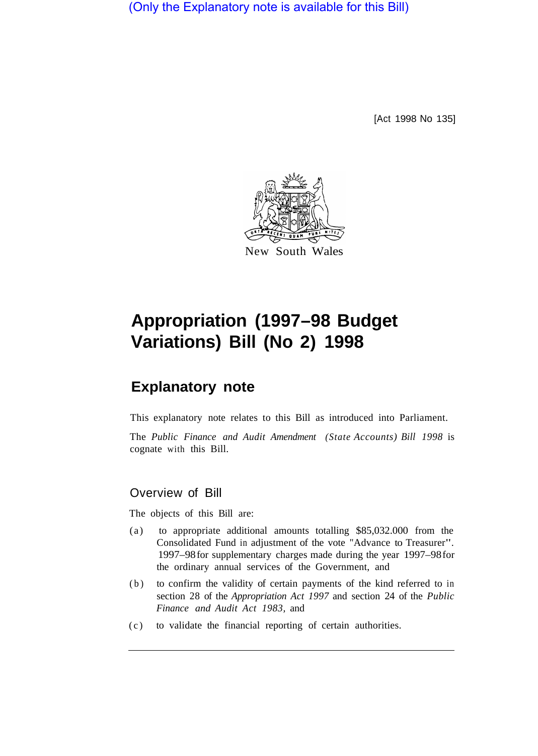(Only the Explanatory note is available for this Bill)

[Act 1998 No 135]



## **Appropriation (1997–98 Budget Variations) Bill (No 2) 1998**

## **Explanatory note**

This explanatory note relates to this Bill as introduced into Parliament.

The *Public Finance and Audit Amendment (State Accounts) Bill 1998* is cognate with this Bill.

## Overview of Bill

The objects of this Bill are:

- (a) to appropriate additional amounts totalling \$85,032.000 from the Consolidated Fund in adjustment of the vote "Advance to Treasurer". 1997–98 for supplementary charges made during the year 1997–98 for the ordinary annual services of the Government, and
- (b) to confirm the validity of certain payments of the kind referred to in section 28 of the *Appropriation Act 1997* and section 24 of the *Public Finance and Audit Act 1983,* and
- (c) to validate the financial reporting of certain authorities.